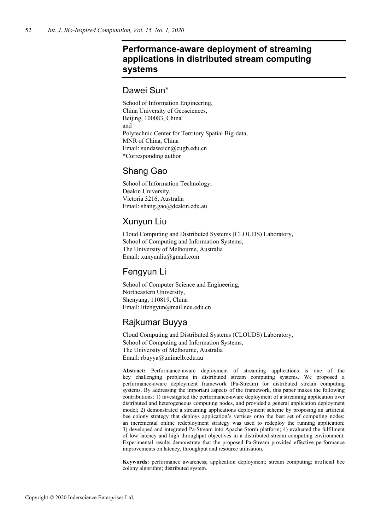# **Performance-aware deployment of streaming applications in distributed stream computing systems**

# Dawei Sun\*

School of Information Engineering, China University of Geosciences, Beijing, 100083, China and Polytechnic Center for Territory Spatial Big-data, MNR of China, China Email: sundaweicn@cugb.edu.cn \*Corresponding author

# Shang Gao

School of Information Technology, Deakin University, Victoria 3216, Australia Email: shang.gao@deakin.edu.au

# Xunyun Liu

Cloud Computing and Distributed Systems (CLOUDS) Laboratory, School of Computing and Information Systems, The University of Melbourne, Australia Email: xunyunliu@gmail.com

# Fengyun Li

School of Computer Science and Engineering, Northeastern University, Shenyang, 110819, China Email: lifengyun@mail.neu.edu.cn

# Rajkumar Buyya

Cloud Computing and Distributed Systems (CLOUDS) Laboratory, School of Computing and Information Systems, The University of Melbourne, Australia Email: rbuyya@unimelb.edu.au

**Abstract:** Performance-aware deployment of streaming applications is one of the key challenging problems in distributed stream computing systems. We proposed a performance-aware deployment framework (Pa-Stream) for distributed stream computing systems. By addressing the important aspects of the framework, this paper makes the following contributions: 1) investigated the performance-aware deployment of a streaming application over distributed and heterogeneous computing nodes, and provided a general application deployment model; 2) demonstrated a streaming applications deployment scheme by proposing an artificial bee colony strategy that deploys application's vertices onto the best set of computing nodes; an incremental online redeployment strategy was used to redeploy the running application; 3) developed and integrated Pa-Stream into Apache Storm platform; 4) evaluated the fulfilment of low latency and high throughput objectives in a distributed stream computing environment. Experimental results demonstrate that the proposed Pa-Stream provided effective performance improvements on latency, throughput and resource utilisation.

**Keywords:** performance awareness; application deployment; stream computing; artificial bee colony algorithm; distributed system.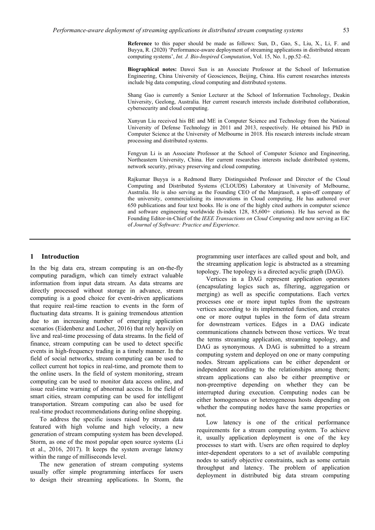**Reference** to this paper should be made as follows: Sun, D., Gao, S., Liu, X., Li, F. and Buyya, R. (2020) 'Performance-aware deployment of streaming applications in distributed stream computing systems', *Int. J. Bio-Inspired Computation*, Vol. 15, No. 1, pp.52–62.

**Biographical notes:** Dawei Sun is an Associate Professor at the School of Information Engineering, China University of Geosciences, Beijing, China. His current researches interests include big data computing, cloud computing and distributed systems.

Shang Gao is currently a Senior Lecturer at the School of Information Technology, Deakin University, Geelong, Australia. Her current research interests include distributed collaboration, cybersecurity and cloud computing.

Xunyun Liu received his BE and ME in Computer Science and Technology from the National University of Defense Technology in 2011 and 2013, respectively. He obtained his PhD in Computer Science at the University of Melbourne in 2018. His research interests include stream processing and distributed systems.

Fengyun Li is an Associate Professor at the School of Computer Science and Engineering, Northeastern University, China. Her current researches interests include distributed systems, network security, privacy preserving and cloud computing.

Rajkumar Buyya is a Redmond Barry Distinguished Professor and Director of the Cloud Computing and Distributed Systems (CLOUDS) Laboratory at University of Melbourne, Australia. He is also serving as the Founding CEO of the Manjrasoft, a spin-off company of the university, commercialising its innovations in Cloud computing. He has authored over 650 publications and four text books. He is one of the highly cited authors in computer science and software engineering worldwide (h-index 128, 85,600+ citations). He has served as the Founding Editor-in-Chief of the *IEEE Transactions on Cloud Computing* and now serving as EiC of *Journal of Software: Practice and Experience*.

### **1 Introduction**

In the big data era, stream computing is an on-the-fly computing paradigm, which can timely extract valuable information from input data stream. As data streams are directly processed without storage in advance, stream computing is a good choice for event-driven applications that require real-time reaction to events in the form of fluctuating data streams. It is gaining tremendous attention due to an increasing number of emerging application scenarios (Eidenbenz and Locher, 2016) that rely heavily on live and real-time processing of data streams. In the field of finance, stream computing can be used to detect specific events in high-frequency trading in a timely manner. In the field of social networks, stream computing can be used to collect current hot topics in real-time, and promote them to the online users. In the field of system monitoring, stream computing can be used to monitor data access online, and issue real-time warning of abnormal access. In the field of smart cities, stream computing can be used for intelligent transportation. Stream computing can also be used for real-time product recommendations during online shopping.

To address the specific issues raised by stream data featured with high volume and high velocity, a new generation of stream computing system has been developed. Storm, as one of the most popular open source systems (Li et al., 2016, 2017). It keeps the system average latency within the range of milliseconds level.

The new generation of stream computing systems usually offer simple programming interfaces for users to design their streaming applications. In Storm, the programming user interfaces are called spout and bolt, and the streaming application logic is abstracted as a streaming topology. The topology is a directed acyclic graph (DAG).

Vertices in a DAG represent application operators (encapsulating logics such as, filtering, aggregation or merging) as well as specific computations. Each vertex processes one or more input tuples from the upstream vertices according to its implemented function, and creates one or more output tuples in the form of data stream for downstream vertices. Edges in a DAG indicate communications channels between those vertices. We treat the terms streaming application, streaming topology, and DAG as synonymous. A DAG is submitted to a stream computing system and deployed on one or many computing nodes. Stream applications can be either dependent or independent according to the relationships among them; stream applications can also be either preemptive or non-preemptive depending on whether they can be interrupted during execution. Computing nodes can be either homogeneous or heterogeneous hosts depending on whether the computing nodes have the same properties or not.

Low latency is one of the critical performance requirements for a stream computing system. To achieve it, usually application deployment is one of the key processes to start with. Users are often required to deploy inter-dependent operators to a set of available computing nodes to satisfy objective constraints, such as some certain throughput and latency. The problem of application deployment in distributed big data stream computing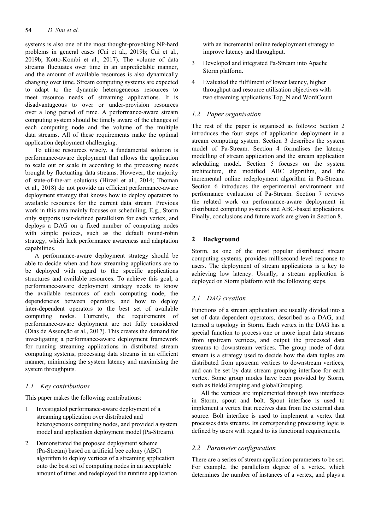systems is also one of the most thought-provoking NP-hard problems in general cases (Cai et al., 2019b; Cui et al., 2019b; Kotto-Kombi et al., 2017). The volume of data streams fluctuates over time in an unpredictable manner, and the amount of available resources is also dynamically changing over time. Stream computing systems are expected to adapt to the dynamic heterogeneous resources to meet resource needs of streaming applications. It is disadvantageous to over or under-provision resources over a long period of time. A performance-aware stream computing system should be timely aware of the changes of each computing node and the volume of the multiple data streams. All of these requirements make the optimal application deployment challenging.

To utilise resources wisely, a fundamental solution is performance-aware deployment that allows the application to scale out or scale in according to the processing needs brought by fluctuating data streams. However, the majority of state-of-the-art solutions (Hirzel et al., 2014; Thoman et al., 2018) do not provide an efficient performance-aware deployment strategy that knows how to deploy operators to available resources for the current data stream. Previous work in this area mainly focuses on scheduling. E.g., Storm only supports user-defined parallelism for each vertex, and deploys a DAG on a fixed number of computing nodes with simple polices, such as the default round-robin strategy, which lack performance awareness and adaptation capabilities.

A performance-aware deployment strategy should be able to decide when and how streaming applications are to be deployed with regard to the specific applications structures and available resources. To achieve this goal, a performance-aware deployment strategy needs to know the available resources of each computing node, the dependencies between operators, and how to deploy inter-dependent operators to the best set of available computing nodes. Currently, the requirements of performance-aware deployment are not fully considered (Dias de Assunção et al., 2017). This creates the demand for investigating a performance-aware deployment framework for running streaming applications in distributed stream computing systems, processing data streams in an efficient manner, minimising the system latency and maximising the system throughputs.

# *1.1 Key contributions*

This paper makes the following contributions:

- 1 Investigated performance-aware deployment of a streaming application over distributed and heterogeneous computing nodes, and provided a system model and application deployment model (Pa-Stream).
- 2 Demonstrated the proposed deployment scheme (Pa-Stream) based on artificial bee colony (ABC) algorithm to deploy vertices of a streaming application onto the best set of computing nodes in an acceptable amount of time; and redeployed the runtime application

with an incremental online redeployment strategy to improve latency and throughput.

- 3 Developed and integrated Pa-Stream into Apache Storm platform.
- 4 Evaluated the fulfilment of lower latency, higher throughput and resource utilisation objectives with two streaming applications Top\_N and WordCount.

# *1.2 Paper organisation*

The rest of the paper is organised as follows: Section 2 introduces the four steps of application deployment in a stream computing system. Section 3 describes the system model of Pa-Stream. Section 4 formalises the latency modelling of stream application and the stream application scheduling model. Section 5 focuses on the system architecture, the modified ABC algorithm, and the incremental online redeployment algorithm in Pa-Stream. Section 6 introduces the experimental environment and performance evaluation of Pa-Stream. Section 7 reviews the related work on performance-aware deployment in distributed computing systems and ABC-based applications. Finally, conclusions and future work are given in Section 8.

# **2 Background**

Storm, as one of the most popular distributed stream computing systems, provides millisecond-level response to users. The deployment of stream applications is a key to achieving low latency. Usually, a stream application is deployed on Storm platform with the following steps.

# *2.1 DAG creation*

Functions of a stream application are usually divided into a set of data-dependent operators, described as a DAG, and termed a topology in Storm. Each vertex in the DAG has a special function to process one or more input data streams from upstream vertices, and output the processed data streams to downstream vertices. The group mode of data stream is a strategy used to decide how the data tuples are distributed from upstream vertices to downstream vertices, and can be set by data stream grouping interface for each vertex. Some group modes have been provided by Storm, such as fieldsGrouping and globalGrouping.

All the vertices are implemented through two interfaces in Storm, spout and bolt. Spout interface is used to implement a vertex that receives data from the external data source. Bolt interface is used to implement a vertex that processes data streams. Its corresponding processing logic is defined by users with regard to its functional requirements.

# *2.2 Parameter configuration*

There are a series of stream application parameters to be set. For example, the parallelism degree of a vertex, which determines the number of instances of a vertex, and plays a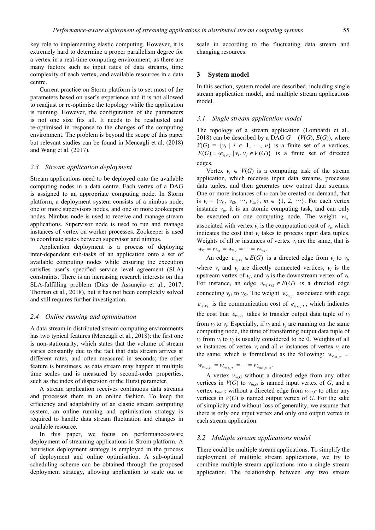key role to implementing elastic computing. However, it is extremely hard to determine a proper parallelism degree for a vertex in a real-time computing environment, as there are many factors such as input rates of data streams, time complexity of each vertex, and available resources in a data centre.

Current practice on Storm platform is to set most of the parameters based on user's experience and it is not allowed to readjust or re-optimise the topology while the application is running. However, the configuration of the parameters is not one size fits all. It needs to be readjusted and re-optimised in response to the changes of the computing environment. The problem is beyond the scope of this paper but relevant studies can be found in Mencagli et al. (2018) and Wang et al. (2017).

#### *2.3 Stream application deployment*

Stream applications need to be deployed onto the available computing nodes in a data centre. Each vertex of a DAG is assigned to an appropriate computing node. In Storm platform, a deployment system consists of a nimbus node, one or more supervisors nodes, and one or more zookeepers nodes. Nimbus node is used to receive and manage stream applications. Supervisor node is used to run and manage instances of vertex on worker processes. Zookeeper is used to coordinate states between supervisor and nimbus.

Application deployment is a process of deploying inter-dependent sub-tasks of an application onto a set of available computing nodes while ensuring the execution satisfies user's specified service level agreement (SLA) constraints. There is an increasing research interests on this SLA-fulfilling problem (Dias de Assunção et al., 2017; Thoman et al., 2018), but it has not been completely solved and still requires further investigation.

#### *2.4 Online running and optimisation*

A data stream in distributed stream computing environments has two typical features (Mencagli et al., 2018): the first one is non-stationarity, which states that the volume of stream varies constantly due to the fact that data stream arrives at different rates, and often measured in seconds; the other feature is burstiness, as data stream may happen at multiple time scales and is measured by second-order properties, such as the index of dispersion or the Hurst parameter.

A stream application receives continuous data streams and processes them in an online fashion. To keep the efficiency and adaptability of an elastic stream computing system, an online running and optimisation strategy is required to handle data stream fluctuation and changes in available resource.

In this paper, we focus on performance-aware deployment of streaming applications in Strom platform. A heuristics deployment strategy is employed in the process of deployment and online optimisation. A sub-optimal scheduling scheme can be obtained through the proposed deployment strategy, allowing application to scale out or scale in according to the fluctuating data stream and changing resources.

#### **3 System model**

In this section, system model are described, including single stream application model, and multiple stream applications model.

#### *3.1 Single stream application model*

The topology of a stream application (Lombardi et al., 2018) can be described by a DAG  $G = (V(G), E(G))$ , where  $V(G) = \{v_i \mid i \in 1, \dots, n\}$  is a finite set of *n* vertices,  $E(G) = {e_{v_i, v_j} | v_i, v_j \in V(G)}$  is a finite set of directed edges.

Vertex  $v_i \in V(G)$  is a computing task of the stream application, which receives input data streams, processes data tuples, and then generates new output data streams. One or more instances of  $v_i$  can be created on-demand, that is  $v_i = \{v_{i1}, v_{i2}, \dots, v_{im}\}, m \in \{1, 2, \dots\}.$  For each vertex instance  $v_{ij}$ , it is an atomic computing task, and can only be executed on one computing node. The weight  $w_{v_i}$ associated with vertex  $v_i$  is the computation cost of  $v_i$ , which indicates the cost that  $v_i$  takes to process input data tuples. Weights of all  $m$  instances of vertex  $v_i$  are the same, that is  $W_{\nu_i} = W_{\nu_{i1}} = W_{\nu_{i2}} = \cdots = W_{\nu_{im}}.$ 

An edge  $e_{v_i, v_j} \in E(G)$  is a directed edge from  $v_i$  to  $v_j$ , where  $v_i$  and  $v_j$  are directly connected vertices,  $v_i$  is the upstream vertex of  $v_i$ , and  $v_j$  is the downstream vertex of  $v_i$ . For instance, an edge  $e_{v_{i1}, v_{i2}} \in E(G)$  is a directed edge connecting  $v_{j1}$  to  $v_{j2}$ . The weight  $w_{e_{v,j}}$  associated with edge  $e_{v_i, v_j}$  is the communication cost of  $e_{v_i, v_j}$ , which indicates the cost that  $e_{v_i, v_j}$  takes to transfer output data tuple of  $v_i$ from  $v_i$  to  $v_j$ . Especially, if  $v_i$  and  $v_j$  are running on the same computing node, the time of transferring output data tuple of  $v_i$  from  $v_i$  to  $v_j$  is usually considered to be 0. Weights of all *m* instances of vertex  $v_i$  and all *n* instances of vertex  $v_j$  are the same, which is formulated as the following:  $w_{e_{w1/2}} =$ 

# $W_{e_{\nu i2,j1}} = W_{e_{\nu i3,j5}} = \cdots = W_{e_{\nu im,jn-2}}$ .

A vertex  $v_{in,G}$  without a directed edge from any other vertices in  $V(G)$  to  $v_{in,G}$  is named input vertex of *G*, and a vertex  $v_{out,G}$  without a directed edge from  $v_{out,G}$  to other any vertices in  $V(G)$  is named output vertex of  $G$ . For the sake of simplicity and without loss of generality, we assume that there is only one input vertex and only one output vertex in each stream application.

## *3.2 Multiple stream applications model*

There could be multiple stream applications. To simplify the deployment of multiple stream applications, we try to combine multiple stream applications into a single stream application. The relationship between any two stream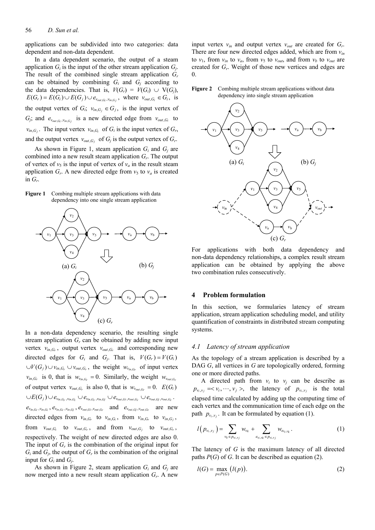applications can be subdivided into two categories: data dependent and non-data dependent.

In a data dependent scenario, the output of a steam application  $G_i$  is the input of the other stream application  $G_i$ . The result of the combined single stream application *Gr* can be obtained by combining  $G_i$  and  $G_j$  according to the data dependencies. That is,  $V(G_r) = V(G_i) \cup V(G_i)$ ,  $E(G_r) = E(G_i) \cup E(G_j) \cup e_{v_{out,G_i}, v_{in,G_i}}$ , where  $v_{out,G_i} \in G_i$ , is the output vertex of  $G_i$ ;  $v_{in,G_i} \in G_j$ , is the input vertex of  $G_j$ ; and  $e_{v_{out,G_i}, v_{in,G_j}}$  is a new directed edge from  $v_{out,G_i}$  to  $v_{in,G_i}$ . The input vertex  $v_{in,G_i}$  of  $G_i$  is the input vertex of  $G_r$ , and the output vertex  $v_{out,G_i}$  of  $G_j$  is the output vertex of  $G_r$ .

As shown in Figure 1, steam application  $G_i$  and  $G_j$  are combined into a new result steam application *Gr*. The output of vertex of  $v_5$  is the input of vertex of  $v_a$  in the result steam application  $G_r$ . A new directed edge from  $v_5$  to  $v_a$  is created in  $G_r$ .

Figure 1 Combing multiple stream applications with data dependency into one single stream application



In a non-data dependency scenario, the resulting single stream application  $G_r$  can be obtained by adding new input vertex  $v_{in,G_r}$ , output vertex  $v_{out,G_r}$  and corresponding new directed edges for  $G_i$  and  $G_j$ . That is,  $V(G_r) = V(G_i)$  $\cup V(G_j) \cup v_{in,G_r} \cup v_{out,G_r}$ , the weight  $w_{v_{in,G_r}}$  of input vertex  $v_{in,G_r}$  is 0, that is  $w_{v_{in,G_r}} = 0$ . Similarly, the weight  $w_{v_{out,G_r}}$ of output vertex  $v_{out,G_r}$  is also 0, that is  $w_{v_{out,G_r}} = 0$ .  $E(G_i)$  $\cup E(G_j) \cup e_{v_{in,G_r},v_{in,G_i}} \cup e_{v_{in,G_r},v_{in,G_j}} \cup e_{v_{out,G_i},v_{out,G_r}} \cup e_{v_{out,G_j},v_{out,G_r}}.$  $e_{v_{in,G_r}, v_{in,G_i}}$ ,  $e_{v_{in,G_r}, v_{in,G_j}}$ ,  $e_{v_{out,G_i}, v_{out,G_r}}$  and  $e_{v_{out,G_j}, v_{out,G_r}}$  are new directed edges from  $v_{in,G_r}$  to  $v_{in,G_i}$ , from  $v_{in,G_r}$  to  $v_{in,G_i}$ , from  $v_{out,G_i}$  to  $v_{out,G_r}$ , and from  $v_{out,G_j}$  to  $v_{out,G_r}$ , respectively. The weight of new directed edges are also 0. The input of  $G_r$  is the combination of the original input for  $G_i$  and  $G_j$ , the output of  $G_r$  is the combination of the original input for  $G_i$  and  $G_i$ .

As shown in Figure 2, steam application  $G_i$  and  $G_j$  are now merged into a new result steam application *Gr*. A new

input vertex  $v_{in}$  and output vertex  $v_{out}$  are created for  $G_r$ . There are four new directed edges added, which are from *vin* to  $v_1$ , from  $v_{in}$  to  $v_a$ , from  $v_5$  to  $v_{out}$ , and from  $v_b$  to  $v_{out}$  are created for *Gr*. Weight of those new vertices and edges are 0.





For applications with both data dependency and non-data dependency relationships, a complex result stream application can be obtained by applying the above two combination rules consecutively.

## **4 Problem formulation**

In this section, we formularies latency of stream application, stream application scheduling model, and utility quantification of constraints in distributed stream computing systems.

#### *4.1 Latency of stream application*

As the topology of a stream application is described by a DAG *G*, all vertices in *G* are topologically ordered, forming one or more directed paths.

A directed path from  $v_i$  to  $v_j$  can be describe as  $p_{v_i, v_j} = \langle v_i, \dots, v_j \rangle$ , the latency of  $p_{v_i, v_j}$  is the total elapsed time calculated by adding up the computing time of each vertex and the communication time of each edge on the path  $p_{v_i, v_j}$ . It can be formulated by equation (1).

$$
l(p_{v_i,v_j}) = \sum_{v_k \in p_{v_i,v_j}} w_{v_k} + \sum_{e_{v_i,v_k} \in p_{v_i,v_j}} w_{e_{v_i,v_k}}.
$$
 (1)

The latency of *G* is the maximum latency of all directed paths *P*(*G*) of *G*. It can be described as equation (2).

$$
l(G) = \max_{p \in P(G)} (l(p)).
$$
\n(2)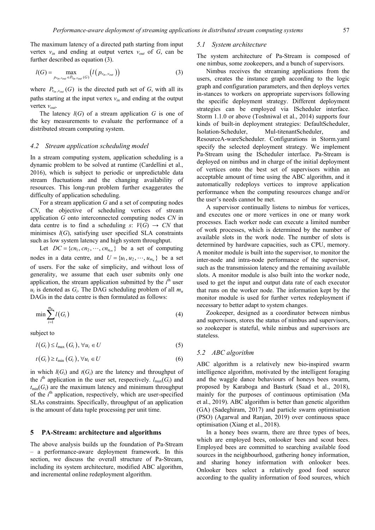The maximum latency of a directed path starting from input vertex  $v_{in}$  and ending at output vertex  $v_{out}$  of *G*, can be further described as equation (3).

$$
l(G) = \max_{p_{v_{in},v_{out}} \in P_{v_{in},v_{out}}(G)} \left( l\left(p_{v_{in},v_{out}}\right)\right) \tag{3}
$$

where  $P_{v_{in}, v_{out}}(G)$  is the directed path set of *G*, with all its paths starting at the input vertex *vin* and ending at the output vertex *vout*.

The latency  $l(G)$  of a stream application  $G$  is one of the key measurements to evaluate the performance of a distributed stream computing system.

#### *4.2 Stream application scheduling model*

In a stream computing system, application scheduling is a dynamic problem to be solved at runtime (Cardellini et al., 2016), which is subject to periodic or unpredictable data stream fluctuations and the changing availability of resources. This long-run problem further exaggerates the difficulty of application scheduling.

For a stream application *G* and a set of computing nodes *CN*, the objective of scheduling vertices of stream application *G* onto interconnected computing nodes *CN* in data centre is to find a scheduling *s*:  $V(G) \rightarrow CN$  that minimises  $l(G)$ , satisfying user specified SLA constraints such as low system latency and high system throughput.

Let  $DC = \{cn_1, cn_2, \dots, cn_{n_{cm}}\}$  be a set of computing nodes in a data centre, and  $U = \{u_1, u_2, \dots, u_{m_u}\}\)$  be a set of users. For the sake of simplicity, and without loss of generality, we assume that each user submits only one application, the stream application submitted by the  $i<sup>th</sup>$  user  $u_i$  is denoted as  $G_i$ . The DAG scheduling problem of all  $m_u$ DAGs in the data centre is then formulated as follows:

$$
\min \sum_{i=1}^{m_u} l(G_i) \tag{4}
$$

subject to

$$
l(G_i) \le l_{\max}(G_i), \forall u_i \in U
$$
\n<sup>(5)</sup>

$$
t(G_i) \ge t_{\min}(G_i), \forall u_i \in U
$$
\n
$$
(6)
$$

in which  $l(G_i)$  and  $t(G_i)$  are the latency and throughput of the  $i^{\text{th}}$  application in the user set, respectively.  $l_{\text{max}}(G_i)$  and  $t_{\text{min}}(G_i)$  are the maximum latency and minimum throughput of the *i*<sup>th</sup> application, respectively, which are user-specified SLAs constraints. Specifically, throughput of an application is the amount of data tuple processing per unit time.

#### **5 PA-Stream: architecture and algorithms**

The above analysis builds up the foundation of Pa-Stream – a performance-aware deployment framework. In this section, we discuss the overall structure of Pa-Stream, including its system architecture, modified ABC algorithm, and incremental online redeployment algorithm.

### *5.1 System architecture*

The system architecture of Pa-Stream is composed of one nimbus, some zookeepers, and a bunch of supervisors.

Nimbus receives the streaming applications from the users, creates the instance graph according to the logic graph and configuration parameters, and then deploys vertex in-stances to workers on appropriate supervisors following the specific deployment strategy. Different deployment strategies can be employed via IScheduler interface. Storm 1.1.0 or above (Toshniwal et al., 2014) supports four kinds of built-in deployment strategies: DefaultScheduler, Isolation-Scheduler, Mul-titenantScheduler, and ResourceA-wareScheduler. Configurations in Storm.yaml specify the selected deployment strategy. We implement Pa-Stream using the IScheduler interface. Pa-Stream is deployed on nimbus and in charge of the initial deployment of vertices onto the best set of supervisors within an acceptable amount of time using the ABC algorithm, and it automatically redeploys vertices to improve application performance when the computing resources change and/or the user's needs cannot be met.

A supervisor continually listens to nimbus for vertices, and executes one or more vertices in one or many work processes. Each worker node can execute a limited number of work processes, which is determined by the number of available slots in the work node. The number of slots is determined by hardware capacities, such as CPU, memory. A monitor module is built into the supervisor, to monitor the inter-node and intra-node performance of the supervisor, such as the transmission latency and the remaining available slots. A monitor module is also built into the worker node, used to get the input and output data rate of each executor that runs on the worker node. The information kept by the monitor module is used for further vertex redeployment if necessary to better adapt to system changes.

Zookeeper, designed as a coordinator between nimbus and supervisors, stores the status of nimbus and supervisors, so zookeeper is stateful, while nimbus and supervisors are stateless.

#### *5.2 ABC algorithm*

ABC algorithm is a relatively new bio-inspired swarm intelligence algorithm, motivated by the intelligent foraging and the waggle dance behaviours of honeys bees swarm, proposed by Karaboga and Basturk (Saad et al., 2018), mainly for the purposes of continuous optimisation (Ma et al., 2019). ABC algorithm is better than genetic algorithm (GA) (Sadeghiram, 2017) and particle swarm optimisation (PSO) (Agarwal and Ranjan, 2019) over continuous space optimisation (Xiang et al., 2018).

In a honey bees swarm, there are three types of bees, which are employed bees, onlooker bees and scout bees. Employed bees are committed to searching available food sources in the neighbourhood, gathering honey information, and sharing honey information with onlooker bees. Onlooker bees select a relatively good food source according to the quality information of food sources, which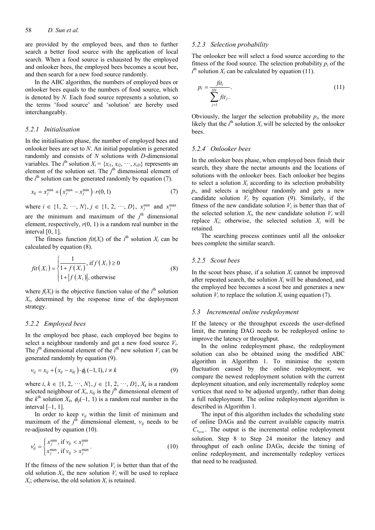are provided by the employed bees, and then to further search a better food source with the application of local search. When a food source is exhausted by the employed and onlooker bees, the employed bees becomes a scout bee, and then search for a new food source randomly.

In the ABC algorithm, the numbers of employed bees or onlooker bees equals to the numbers of food source, which is denoted by *N.* Each food source represents a solution, so the terms 'food source' and 'solution' are hereby used interchangeably.

### *5.2.1 Initialisation*

In the initialisation phase, the number of employed bees and onlooker bees are set to *N*. An initial population is generated randomly and consists of *N* solutions with *D*-dimensional variables. The *i*<sup>th</sup> solution  $X_i = \{x_{i1}, x_{i2}, \dots, x_{iD}\}\)$  represents an element of the solution set. The  $j<sup>th</sup>$  dimensional element of the  $i<sup>th</sup>$  solution can be generated randomly by equation (7).

$$
x_{ij} = x_j^{\min} + \left(x_j^{\max} - x_j^{\min}\right) \cdot r(0, 1) \tag{7}
$$

where  $i \in \{1, 2, \dots, N\}, j \in \{1, 2, \dots, D\}, x_j^{\min}$  and  $x_j^{\max}$ are the minimum and maximum of the  $j<sup>th</sup>$  dimensional element, respectively,  $r(0, 1)$  is a random real number in the interval [0, 1].

The fitness function  $fit(X_i)$  of the *i*<sup>th</sup> solution  $X_i$  can be calculated by equation (8).

$$
fit(X_i) = \begin{cases} \frac{1}{1 + f(X_i)}, \text{if } f(X_i) \ge 0\\ 1 + |f(X_i)|, \text{otherwise} \end{cases}
$$
(8)

where  $f(X_i)$  is the objective function value of the  $i^{\text{th}}$  solution *Xi*, determined by the response time of the deployment strategy.

#### *5.2.2 Employed bees*

In the employed bee phase, each employed bee begins to select a neighbour randomly and get a new food source *Vi*. The  $j^{\text{th}}$  dimensional element of the  $i^{\text{th}}$  new solution  $V_i$  can be generated randomly by equation (9).

$$
v_{ij} = x_{ij} + (x_{ij} - x_{kj}) \cdot \phi_j(-1, 1), i \neq k
$$
 (9)

where  $i, k \in \{1, 2, \dots, N\}, j \in \{1, 2, \dots, D\}, X_k$  is a random selected neighbour of  $X_i$ ,  $x_{kj}$  is the  $j^{\text{th}}$  dimensional element of the  $k^{\text{th}}$  solution  $X_k$ ,  $\phi_{ij}(-1, 1)$  is a random real number in the interval [–1, 1].

In order to keep  $v_{ij}$  within the limit of minimum and maximum of the  $j^{\text{th}}$  dimensional element,  $v_{ij}$  needs to be re-adjusted by equation (10).

$$
v'_{ij} = \begin{cases} x_j^{\min}, \text{ if } v_{ij} < x_j^{\min} \\ x_j^{\max}, \text{ if } v_{ij} > x_j^{\max} \end{cases} \tag{10}
$$

If the fitness of the new solution  $V_i$  is better than that of the old solution  $X_i$ , the new solution  $V_i$  will be used to replace  $X_i$ ; otherwise, the old solution  $X_i$  is retained.

# *5.2.3 Selection probability*

The onlooker bee will select a food source according to the fitness of the food source. The selection probability  $p_i$  of the  $i^{\text{th}}$  solution  $X_i$  can be calculated by equation (11).

$$
p_i = \frac{fit_i}{\sum_{j=1}^{SN} fit_j}.
$$
\n(11)

Obviously, the larger the selection probability  $p_i$ , the more likely that the  $i^{\text{th}}$  solution  $X_i$  will be selected by the onlooker bees.

### *5.2.4 Onlooker bees*

In the onlooker bees phase, when employed bees finish their search, they share the nectar amounts and the locations of solutions with the onlooker bees. Each onlooker bee begins to select a solution  $X_i$  according to its selection probability *pi*, and selects a neighbour randomly and gets a new candidate solution  $V_i$  by equation (9). Similarly, if the fitness of the new candidate solution  $V_i$  is better than that of the selected solution  $X_i$ , the new candidate solution  $V_i$  will replace  $X_i$ ; otherwise, the selected solution  $X_i$  will be retained.

The searching process continues until all the onlooker bees complete the similar search.

## *5.2.5 Scout bees*

In the scout bees phase, if a solution  $X_i$  cannot be improved after repeated search, the solution  $X_i$  will be abandoned, and the employed bee becomes a scout bee and generates a new solution  $V_i$  to replace the solution  $X_i$  using equation (7).

### *5.3 Incremental online redeployment*

If the latency or the throughput exceeds the user-defined limit, the running DAG needs to be redeployed online to improve the latency or throughput.

In the online redeployment phase, the redeployment solution can also be obtained using the modified ABC algorithm in Algorithm 1. To minimise the system fluctuation caused by the online redeployment, we compare the newest redeployment solution with the current deployment situation, and only incrementally redeploy some vertices that need to be adjusted urgently, rather than doing a full redeployment. The online redeployment algorithm is described in Algorithm 1.

The input of this algorithm includes the scheduling state of online DAGs and the current available capacity matrix  $C_{v_{\text{new}}}$ . The output is the incremental online redeployment solution. Step 8 to Step 24 monitor the latency and throughput of each online DAGs, decide the timing of online redeployment, and incrementally redeploy vertices that need to be readjusted.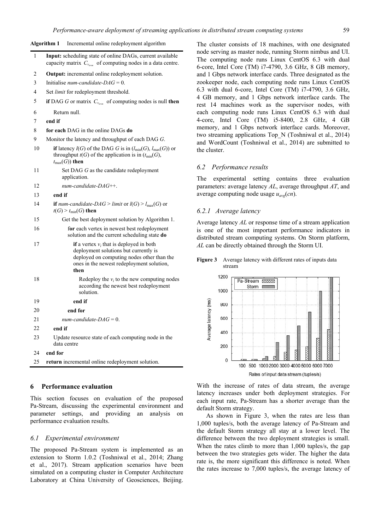| 1  | Input: scheduling state of online DAGs, current available<br>capacity matrix $C_{v_{\text{max}}}$ of computing nodes in a data centre.                                                 |
|----|----------------------------------------------------------------------------------------------------------------------------------------------------------------------------------------|
| 2  | <b>Output:</b> incremental online redeployment solution.                                                                                                                               |
| 3  | Initialise <i>num-candidate-DAG</i> = 0.                                                                                                                                               |
| 4  | Set <i>limit</i> for redeployment threshold.                                                                                                                                           |
| 5  | if DAG G or matrix $C_{v_{new}}$ of computing nodes is null then                                                                                                                       |
| 6  | Return null.                                                                                                                                                                           |
| 7  | end if                                                                                                                                                                                 |
| 8  | for each DAG in the online DAGs do                                                                                                                                                     |
| 9  | Monitor the latency and throughput of each DAG G.                                                                                                                                      |
| 10 | if latency $l(G)$ of the DAG G is in $(l_{min}(G), l_{max}(G))$ or<br>throughput $t(G)$ of the application is in $(t_{min}(G))$ ,<br>$t_{\max}(G)$ ) then                              |
| 11 | Set DAG $G$ as the candidate redeployment<br>application.                                                                                                                              |
| 12 | num-candidate- $DAG^{++}$ .                                                                                                                                                            |
| 13 | end if                                                                                                                                                                                 |
| 14 | <b>if</b> num-candidate-DAG > limit or $l(G)$ > $l_{\text{max}}(G)$ or<br>$t(G)$ > $t_{\min}(G)$ then                                                                                  |
| 15 | Get the best deployment solution by Algorithm 1.                                                                                                                                       |
| 16 | for each vertex in newest best redeployment<br>solution and the current scheduling state do                                                                                            |
| 17 | if a vertex $v_i$ that is deployed in both<br>deployment solutions but currently is<br>deployed on computing nodes other than the<br>ones in the newest redeployment solution,<br>then |
| 18 | Redeploy the $v_i$ to the new computing nodes<br>according the newest best redeployment<br>solution.                                                                                   |
| 19 | end if                                                                                                                                                                                 |
| 20 | end for                                                                                                                                                                                |
| 21 | num-candidate- $DAG = 0$ .                                                                                                                                                             |
| 22 | end if                                                                                                                                                                                 |
| 23 | Update resource state of each computing node in the<br>data centre                                                                                                                     |
| 24 | end for                                                                                                                                                                                |
| 25 | return incremental online redeployment solution.                                                                                                                                       |

**Algorithm 1** Incremental online redeployment algorithm

## **6 Performance evaluation**

This section focuses on evaluation of the proposed Pa-Stream, discussing the experimental environment and parameter settings, and providing an analysis on performance evaluation results.

# *6.1 Experimental environment*

The proposed Pa-Stream system is implemented as an extension to Storm 1.0.2 (Toshniwal et al., 2014; Zhang et al., 2017). Stream application scenarios have been simulated on a computing cluster in Computer Architecture Laboratory at China University of Geosciences, Beijing.

The cluster consists of 18 machines, with one designated node serving as master node, running Storm nimbus and UI. The computing node runs Linux CentOS 6.3 with dual 6-core, Intel Core (TM) i7-4790, 3.6 GHz, 8 GB memory, and 1 Gbps network interface cards. Three designated as the zookeeper node, each computing node runs Linux CentOS 6.3 with dual 6-core, Intel Core (TM) i7-4790, 3.6 GHz, 4 GB memory, and 1 Gbps network interface cards. The rest 14 machines work as the supervisor nodes, with each computing node runs Linux CentOS 6.3 with dual 4-core, Intel Core (TM) i5-8400, 2.8 GHz, 4 GB memory, and 1 Gbps network interface cards. Moreover, two streaming applications Top\_N (Toshniwal et al., 2014) and WordCount (Toshniwal et al., 2014) are submitted to the cluster.

# *6.2 Performance results*

The experimental setting contains three evaluation parameters: average latency *AL*, average throughput *AT*, and average computing node usage *uavg*(*cn*).

### *6.2.1 Average latency*

Average latency *AL* or response time of a stream application is one of the most important performance indicators in distributed stream computing systems. On Storm platform, *AL* can be directly obtained through the Storm UI.



**Figure 3** Average latency with different rates of inputs data stream

With the increase of rates of data stream, the average latency increases under both deployment strategies. For each input rate, Pa-Stream has a shorter average than the default Storm strategy.

As shown in Figure 3, when the rates are less than 1,000 tuples/s, both the average latency of Pa-Stream and the default Storm strategy all stay at a lower level. The difference between the two deployment strategies is small. When the rates climb to more than 1,000 tuples/s, the gap between the two strategies gets wider. The higher the data rate is, the more significant this difference is noted. When the rates increase to 7,000 tuples/s, the average latency of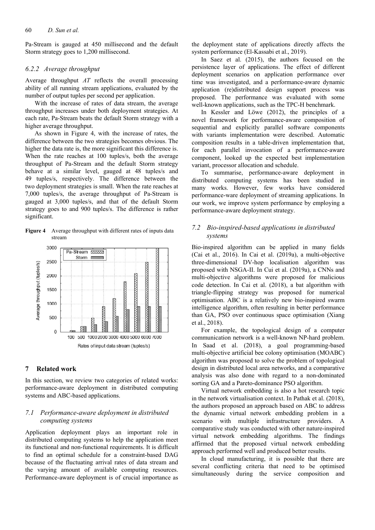Pa-Stream is gauged at 450 millisecond and the default Storm strategy goes to 1,200 millisecond.

## *6.2.2 Average throughput*

Average throughput *AT* reflects the overall processing ability of all running stream applications, evaluated by the number of output tuples per second per application.

With the increase of rates of data stream, the average throughput increases under both deployment strategies. At each rate, Pa-Stream beats the default Storm strategy with a higher average throughput.

As shown in Figure 4, with the increase of rates, the difference between the two strategies becomes obvious. The higher the data rate is, the more significant this difference is. When the rate reaches at 100 tuples/s, both the average throughput of Pa-Stream and the default Storm strategy behave at a similar level, gauged at 48 tuples/s and 49 tuples/s, respectively. The difference between the two deployment strategies is small. When the rate reaches at 7,000 tuples/s, the average throughput of Pa-Stream is gauged at 3,000 tuples/s, and that of the default Storm strategy goes to and 900 tuples/s. The difference is rather significant.

**Figure 4** Average throughput with different rates of inputs data stream



# **7 Related work**

In this section, we review two categories of related works: performance-aware deployment in distributed computing systems and ABC-based applications.

# *7.1 Performance-aware deployment in distributed computing systems*

Application deployment plays an important role in distributed computing systems to help the application meet its functional and non-functional requirements. It is difficult to find an optimal schedule for a constraint-based DAG because of the fluctuating arrival rates of data stream and the varying amount of available computing resources. Performance-aware deployment is of crucial importance as the deployment state of applications directly affects the system performance (El-Kassabi et al., 2019).

In Saez et al. (2015), the authors focused on the persistence layer of applications. The effect of different deployment scenarios on application performance over time was investigated, and a performance-aware dynamic application (re)distributed design support process was proposed. The performance was evaluated with some well-known applications, such as the TPC-H benchmark.

In Kessler and Löwe (2012), the principles of a novel framework for performance-aware composition of sequential and explicitly parallel software components with variants implementation were described. Automatic composition results in a table-driven implementation that, for each parallel invocation of a performance-aware component, looked up the expected best implementation variant, processor allocation and schedule.

To summarise, performance-aware deployment in distributed computing systems has been studied in many works. However, few works have considered performance-ware deployment of streaming applications. In our work, we improve system performance by employing a performance-aware deployment strategy.

# *7.2 Bio-inspired-based applications in distributed systems*

Bio-inspired algorithm can be applied in many fields (Cai et al., 2016). In Cai et al. (2019a), a multi-objective three-dimensional DV-hop localisation algorithm was proposed with NSGA-II. In Cui et al. (2019a), a CNNs and multi-objective algorithms were proposed for malicious code detection. In Cai et al. (2018), a bat algorithm with triangle-flipping strategy was proposed for numerical optimisation. ABC is a relatively new bio-inspired swarm intelligence algorithm, often resulting in better performance than GA, PSO over continuous space optimisation (Xiang et al., 2018).

For example, the topological design of a computer communication network is a well-known NP-hard problem. In Saad et al. (2018), a goal programming-based multi-objective artificial bee colony optimisation (MOABC) algorithm was proposed to solve the problem of topological design in distributed local area networks, and a comparative analysis was also done with regard to a non-dominated sorting GA and a Pareto-dominance PSO algorithm.

Virtual network embedding is also a hot research topic in the network virtualisation context. In Pathak et al. (2018), the authors proposed an approach based on ABC to address the dynamic virtual network embedding problem in a scenario with multiple infrastructure providers. A comparative study was conducted with other nature-inspired virtual network embedding algorithms. The findings affirmed that the proposed virtual network embedding approach performed well and produced better results.

In cloud manufacturing, it is possible that there are several conflicting criteria that need to be optimised simultaneously during the service composition and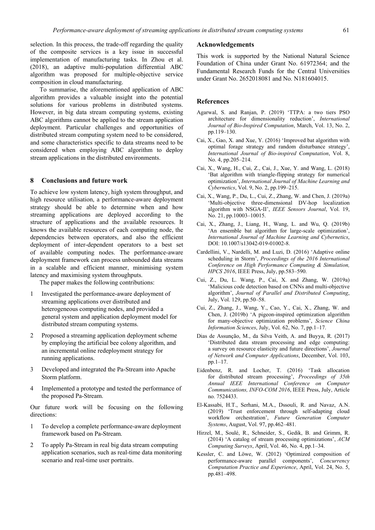selection. In this process, the trade-off regarding the quality of the composite services is a key issue in successful implementation of manufacturing tasks. In Zhou et al. (2018), an adaptive multi-population differential ABC algorithm was proposed for multiple-objective service composition in cloud manufacturing.

To summarise, the aforementioned application of ABC algorithm provides a valuable insight into the potential solutions for various problems in distributed systems. However, in big data stream computing systems, existing ABC algorithms cannot be applied to the stream application deployment. Particular challenges and opportunities of distributed stream computing system need to be considered, and some characteristics specific to data streams need to be considered when employing ABC algorithm to deploy stream applications in the distributed environments.

## **8 Conclusions and future work**

To achieve low system latency, high system throughput, and high resource utilisation, a performance-aware deployment strategy should be able to determine when and how streaming applications are deployed according to the structure of applications and the available resources. It knows the available resources of each computing node, the dependencies between operators, and also the efficient deployment of inter-dependent operators to a best set of available computing nodes. The performance-aware deployment framework can process unbounded data streams in a scalable and efficient manner, minimising system latency and maximising system throughputs.

The paper makes the following contributions:

- 1 Investigated the performance-aware deployment of streaming applications over distributed and heterogeneous computing nodes, and provided a general system and application deployment model for distributed stream computing systems.
- Proposed a streaming application deployment scheme by employing the artificial bee colony algorithm, and an incremental online redeployment strategy for running applications.
- 3 Developed and integrated the Pa-Stream into Apache Storm platform.
- 4 Implemented a prototype and tested the performance of the proposed Pa-Stream.

Our future work will be focusing on the following directions:

- 1 To develop a complete performance-aware deployment framework based on Pa-Stream.
- 2 To apply Pa-Stream in real big data stream computing application scenarios, such as real-time data monitoring scenario and real-time user portraits.

## **Acknowledgements**

This work is supported by the National Natural Science Foundation of China under Grant No. 61972364; and the Fundamental Research Funds for the Central Universities under Grant No. 2652018081 and No. N181604015.

## **References**

- Agarwal, S. and Ranjan, P. (2019) 'TTPA: a two tiers PSO architecture for dimensionality reduction', *International Journal of Bio-Inspired Computation*, March, Vol. 13, No. 2, pp.119–130.
- Cai, X., Gao, X. and Xue, Y. (2016) 'Improved bat algorithm with optimal forage strategy and random disturbance strategy', *International Journal of Bio-inspired Computation*, Vol. 8, No. 4, pp.205–214.
- Cai, X., Wang, H., Cui, Z., Cai, J., Xue, Y. and Wang, L. (2018) 'Bat algorithm with triangle-flipping strategy for numerical optimization', *International Journal of Machine Learning and Cybernetics*, Vol. 9, No. 2, pp.199–215.
- Cai, X., Wang, P., Du, L., Cui, Z., Zhang, W. and Chen, J. (2019a) 'Multi-objective three-dimensional DV-hop localization algorithm with NSGA-II', *IEEE Sensors Journal*, Vol. 19, No. 21, pp.10003–10015.
- Cai, X., Zhang, J., Liang, H., Wang, L. and Wu, Q. (2019b) 'An ensemble bat algorithm for large-scale optimization', *International Journal of Machine Learning and Cybernetics*, DOI: 10.1007/s13042-019-01002-8.
- Cardellini, V., Nardelli, M. and Luzi, D. (2016) 'Adaptive online scheduling in Storm', *Proceedings of the 2016 International Conference on High Performance Computing & Simulation, HPCS 2016*, IEEE Press, July, pp.583–590.
- Cui, Z., Du, L. Wang, P., Cai, X. and Zhang, W. (2019a) 'Malicious code detection based on CNNs and multi-objective algorithm', *Journal of Parallel and Distributed Computing*, July, Vol. 129, pp.50–58.
- Cui, Z., Zhang, J., Wang, Y., Cao, Y., Cai, X., Zhang, W. and Chen, J. (2019b) 'A pigeon-inspired optimization algorithm for many-objective optimization problems', *Science China Information Sciences*, July, Vol. 62, No. 7, pp.1–17.
- Dias de Assunção, M., da Silva Veith, A. and Buyya, R. (2017) 'Distributed data stream processing and edge computing: a survey on resource elasticity and future directions', *Journal of Network and Computer Applications*, December, Vol. 103, pp.1–17.
- Eidenbenz, R. and Locher, T. (2016) 'Task allocation for distributed stream processing', *Proceedings of 35th Annual IEEE International Conference on Computer Communications, INFO-COM 2016*, IEEE Press, July, Article no. 7524433.
- El-Kassabi, H.T., Serhani, M.A., Dssouli, R. and Navaz, A.N. (2019) 'Trust enforcement through self-adapting cloud workflow orchestration', *Future Generation Computer Systems*, August, Vol. 97, pp.462–481.
- Hirzel, M., Soulé, R., Schneider, S., Gedik, B. and Grimm, R. (2014) 'A catalog of stream processing optimizations', *ACM Computing Surveys*, April, Vol. 46, No. 4, pp.1–34.
- Kessler, C. and Löwe, W. (2012) 'Optimized composition of performance-aware parallel components', *Concurrency Computation Practice and Experience*, April, Vol. 24, No. 5, pp.481–498.